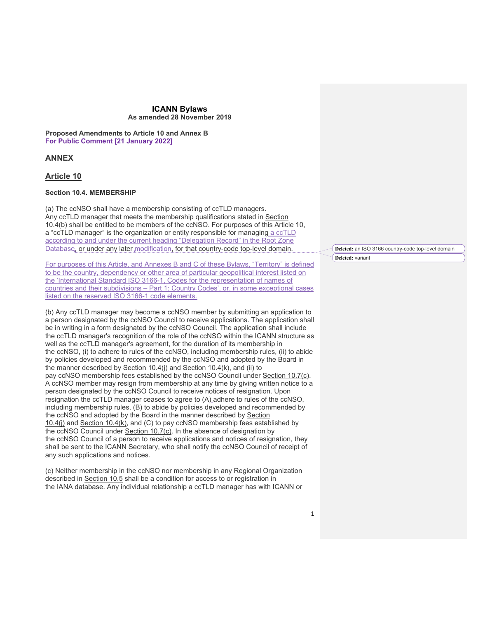**Proposed Amendments to Article 10 and Annex B For Public Comment [21 January 2022]**

# **ANNEX**

# **Article 10**

#### **Section 10.4. MEMBERSHIP**

(a) The ccNSO shall have a membership consisting of ccTLD managers. Any ccTLD manager that meets the membership qualifications stated in Section 10.4(b) shall be entitled to be members of the ccNSO. For purposes of this Article 10, a "ccTLD manager" is the organization or entity responsible for managing a ccTLD according to and under the current heading "Delegation Record" in the Root Zone Database, or under any later modification, for that country-code top-level domain.

For purposes of this Article, and Annexes B and C of these Bylaws, "Territory" is defined to be the country, dependency or other area of particular geopolitical interest listed on the 'International Standard ISO 3166-1, Codes for the representation of names of countries and their subdivisions – Part 1: Country Codes', or, in some exceptional cases listed on the reserved ISO 3166-1 code elements.

(b) Any ccTLD manager may become a ccNSO member by submitting an application to a person designated by the ccNSO Council to receive applications. The application shall be in writing in a form designated by the ccNSO Council. The application shall include the ccTLD manager's recognition of the role of the ccNSO within the ICANN structure as well as the ccTLD manager's agreement, for the duration of its membership in the ccNSO, (i) to adhere to rules of the ccNSO, including membership rules, (ii) to abide by policies developed and recommended by the ccNSO and adopted by the Board in the manner described by Section 10.4(i) and Section 10.4(k), and (ii) to pay ccNSO membership fees established by the ccNSO Council under Section 10.7(c). A ccNSO member may resign from membership at any time by giving written notice to a person designated by the ccNSO Council to receive notices of resignation. Upon resignation the ccTLD manager ceases to agree to (A) adhere to rules of the ccNSO, including membership rules, (B) to abide by policies developed and recommended by the ccNSO and adopted by the Board in the manner described by Section  $10.4$ (j) and Section 10.4(k), and (C) to pay ccNSO membership fees established by the ccNSO Council under Section 10.7(c). In the absence of designation by the ccNSO Council of a person to receive applications and notices of resignation, they shall be sent to the ICANN Secretary, who shall notify the ccNSO Council of receipt of any such applications and notices.

(c) Neither membership in the ccNSO nor membership in any Regional Organization described in Section 10.5 shall be a condition for access to or registration in the IANA database. Any individual relationship a ccTLD manager has with ICANN or

**Deleted:** an ISO 3166 country-code top-level domain **Deleted:** variant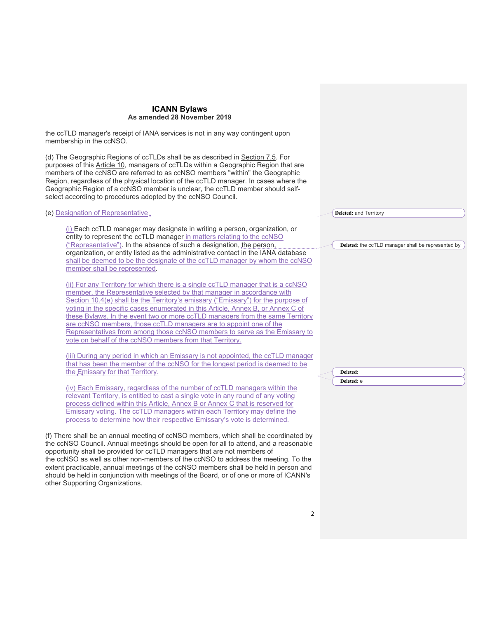the ccTLD manager's receipt of IANA services is not in any way contingent upon membership in the ccNSO.

(e) Designation of Representative

(d) The Geographic Regions of ccTLDs shall be as described in Section 7.5. For purposes of this Article 10, managers of ccTLDs within a Geographic Region that are members of the ccNSO are referred to as ccNSO members "within" the Geographic Region, regardless of the physical location of the ccTLD manager. In cases where the Geographic Region of a ccNSO member is unclear, the ccTLD member should selfselect according to procedures adopted by the ccNSO Council.

(i) Each ccTLD manager may designate in writing a person, organization, or entity to represent the ccTLD manager in matters relating to the ccNSO ("Representative"). In the absence of such a designation, the person, organization, or entity listed as the administrative contact in the IANA database shall be deemed to be the designate of the ccTLD manager by whom the ccNSO member shall be represented.

(ii) For any Territory for which there is a single ccTLD manager that is a ccNSO member, the Representative selected by that manager in accordance with Section 10.4(e) shall be the Territory's emissary ("Emissary") for the purpose of voting in the specific cases enumerated in this Article, Annex B, or Annex C of these Bylaws. In the event two or more ccTLD managers from the same Territory are ccNSO members, those ccTLD managers are to appoint one of the Representatives from among those ccNSO members to serve as the Emissary to vote on behalf of the ccNSO members from that Territory.

(iii) During any period in which an Emissary is not appointed, the ccTLD manager that has been the member of the ccNSO for the longest period is deemed to be the Emissary for that Territory.

(iv) Each Emissary, regardless of the number of ccTLD managers within the relevant Territory, is entitled to cast a single vote in any round of any voting process defined within this Article, Annex B or Annex C that is reserved for Emissary voting. The ccTLD managers within each Territory may define the process to determine how their respective Emissary's vote is determined.

(f) There shall be an annual meeting of ccNSO members, which shall be coordinated by the ccNSO Council. Annual meetings should be open for all to attend, and a reasonable opportunity shall be provided for ccTLD managers that are not members of the ccNSO as well as other non-members of the ccNSO to address the meeting. To the extent practicable, annual meetings of the ccNSO members shall be held in person and should be held in conjunction with meetings of the Board, or of one or more of ICANN's other Supporting Organizations.

**Deleted:** the ccTLD manager shall be represented by

**Deleted: Deleted:** e

**Deleted:** and Territory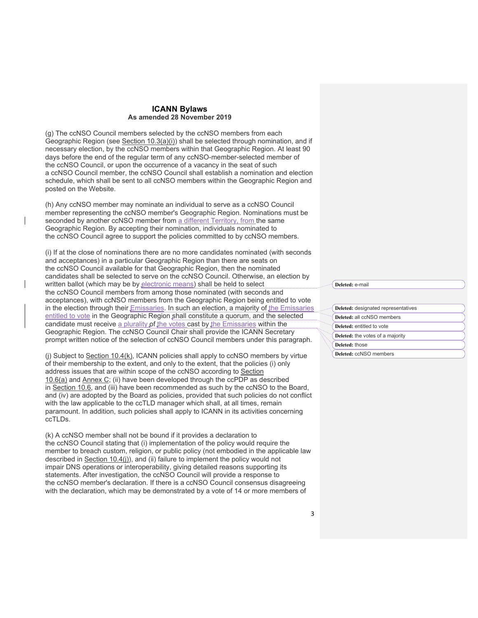(g) The ccNSO Council members selected by the ccNSO members from each Geographic Region (see Section 10.3(a)(i)) shall be selected through nomination, and if necessary election, by the ccNSO members within that Geographic Region. At least 90 days before the end of the regular term of any ccNSO-member-selected member of the ccNSO Council, or upon the occurrence of a vacancy in the seat of such a ccNSO Council member, the ccNSO Council shall establish a nomination and election schedule, which shall be sent to all ccNSO members within the Geographic Region and posted on the Website.

(h) Any ccNSO member may nominate an individual to serve as a ccNSO Council member representing the ccNSO member's Geographic Region. Nominations must be seconded by another ccNSO member from a different Territory, from the same Geographic Region. By accepting their nomination, individuals nominated to the ccNSO Council agree to support the policies committed to by ccNSO members.

(i) If at the close of nominations there are no more candidates nominated (with seconds and acceptances) in a particular Geographic Region than there are seats on the ccNSO Council available for that Geographic Region, then the nominated candidates shall be selected to serve on the ccNSO Council. Otherwise, an election by written ballot (which may be by electronic means) shall be held to select the ccNSO Council members from among those nominated (with seconds and acceptances), with ccNSO members from the Geographic Region being entitled to vote in the election through their *Emissaries*. In such an election, a majority of the Emissaries entitled to vote in the Geographic Region shall constitute a quorum, and the selected candidate must receive a plurality of the votes cast by the Emissaries within the Geographic Region. The ccNSO Council Chair shall provide the ICANN Secretary prompt written notice of the selection of ccNSO Council members under this paragraph.

(j) Subject to Section  $10.4(k)$ , ICANN policies shall apply to ccNSO members by virtue of their membership to the extent, and only to the extent, that the policies (i) only address issues that are within scope of the ccNSO according to Section 10.6(a) and Annex C; (ii) have been developed through the ccPDP as described in Section 10.6, and (iii) have been recommended as such by the ccNSO to the Board, and (iv) are adopted by the Board as policies, provided that such policies do not conflict with the law applicable to the ccTLD manager which shall, at all times, remain paramount. In addition, such policies shall apply to ICANN in its activities concerning ccTLDs.

(k) A ccNSO member shall not be bound if it provides a declaration to the ccNSO Council stating that (i) implementation of the policy would require the member to breach custom, religion, or public policy (not embodied in the applicable law described in Section 10.4(i)), and (ii) failure to implement the policy would not impair DNS operations or interoperability, giving detailed reasons supporting its statements. After investigation, the ccNSO Council will provide a response to the ccNSO member's declaration. If there is a ccNSO Council consensus disagreeing with the declaration, which may be demonstrated by a vote of 14 or more members of

**Deleted:** e-mail

| Deleted: designated representatives     |  |
|-----------------------------------------|--|
| Deleted: all ccNSO members              |  |
| Deleted: entitled to vote               |  |
| <b>Deleted:</b> the votes of a majority |  |
| Deleted: those                          |  |
| Deleted: ccNSO members                  |  |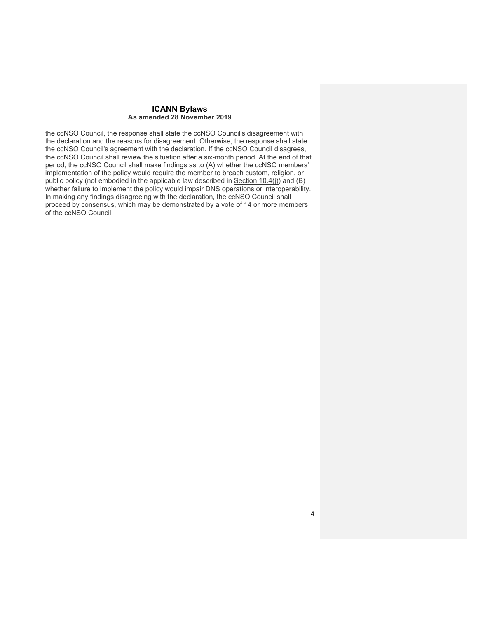the ccNSO Council, the response shall state the ccNSO Council's disagreement with the declaration and the reasons for disagreement. Otherwise, the response shall state the ccNSO Council's agreement with the declaration. If the ccNSO Council disagrees, the ccNSO Council shall review the situation after a six-month period. At the end of that period, the ccNSO Council shall make findings as to (A) whether the ccNSO members' implementation of the policy would require the member to breach custom, religion, or public policy (not embodied in the applicable law described in Section 10.4(j)) and (B) whether failure to implement the policy would impair DNS operations or interoperability. In making any findings disagreeing with the declaration, the ccNSO Council shall proceed by consensus, which may be demonstrated by a vote of 14 or more members of the ccNSO Council.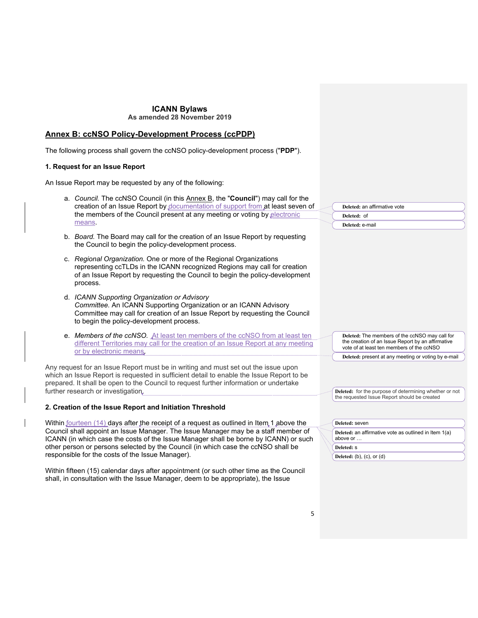# **ICANN Bylaws**

# **As amended 28 November 2019**

# **Annex B: ccNSO Policy-Development Process (ccPDP)**

The following process shall govern the ccNSO policy-development process ("**PDP**").

# **1. Request for an Issue Report**

An Issue Report may be requested by any of the following:

- a. *Council.* The ccNSO Council (in this Annex B, the "**Council**") may call for the creation of an Issue Report by documentation of support from at least seven of the members of the Council present at any meeting or voting by electronic means.
- b. *Board.* The Board may call for the creation of an Issue Report by requesting the Council to begin the policy-development process.
- c. *Regional Organization.* One or more of the Regional Organizations representing ccTLDs in the ICANN recognized Regions may call for creation of an Issue Report by requesting the Council to begin the policy-development process.
- d. *ICANN Supporting Organization or Advisory Committee.* An ICANN Supporting Organization or an ICANN Advisory Committee may call for creation of an Issue Report by requesting the Council to begin the policy-development process.
- e. *Members of the ccNSO.* At least ten members of the ccNSO from at least ten different Territories may call for the creation of an Issue Report at any meeting or by electronic means.

Any request for an Issue Report must be in writing and must set out the issue upon which an Issue Report is requested in sufficient detail to enable the Issue Report to be prepared. It shall be open to the Council to request further information or undertake further research or investigation.

# **2. Creation of the Issue Report and Initiation Threshold**

Within fourteen (14) days after the receipt of a request as outlined in Item 1 above the Council shall appoint an Issue Manager. The Issue Manager may be a staff member of ICANN (in which case the costs of the Issue Manager shall be borne by ICANN) or such other person or persons selected by the Council (in which case the ccNSO shall be responsible for the costs of the Issue Manager).

Within fifteen (15) calendar days after appointment (or such other time as the Council shall, in consultation with the Issue Manager, deem to be appropriate), the Issue

| Deleted: an affirmative vote |                 |
|------------------------------|-----------------|
|                              | Deleted: of     |
|                              | Deleted: e-mail |

**Deleted:** The members of the ccNSO may call for the creation of an Issue Report by an affirmative vote of at least ten members of the ccNSO

**Deleted:** present at any meeting or voting by e-mail

**Deleted:** for the purpose of determining whether or not the requested Issue Report should be created

|  | Deleted: seven                                                    |  |  |  |
|--|-------------------------------------------------------------------|--|--|--|
|  | Deleted: an affirmative vote as outlined in Item 1(a)<br>above or |  |  |  |
|  | Deleted: S                                                        |  |  |  |
|  | Deleted: $(b)$ , $(c)$ , or $(d)$                                 |  |  |  |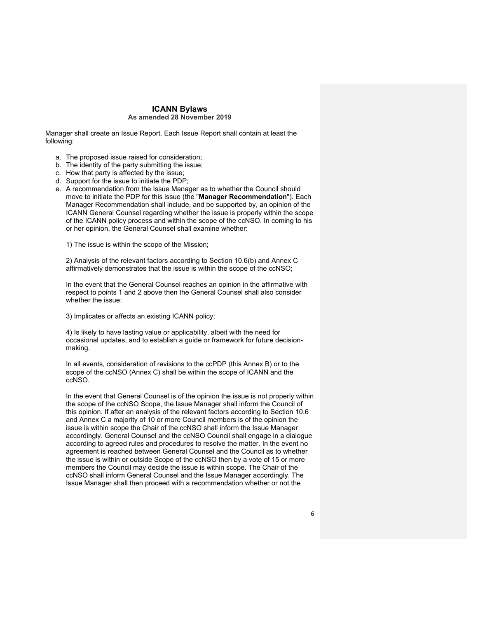Manager shall create an Issue Report. Each Issue Report shall contain at least the following:

- a. The proposed issue raised for consideration;
- b. The identity of the party submitting the issue;
- c. How that party is affected by the issue;
- d. Support for the issue to initiate the PDP;
- e. A recommendation from the Issue Manager as to whether the Council should move to initiate the PDP for this issue (the "**Manager Recommendation**"). Each Manager Recommendation shall include, and be supported by, an opinion of the ICANN General Counsel regarding whether the issue is properly within the scope of the ICANN policy process and within the scope of the ccNSO. In coming to his or her opinion, the General Counsel shall examine whether:

1) The issue is within the scope of the Mission;

2) Analysis of the relevant factors according to Section 10.6(b) and Annex C affirmatively demonstrates that the issue is within the scope of the ccNSO;

In the event that the General Counsel reaches an opinion in the affirmative with respect to points 1 and 2 above then the General Counsel shall also consider whether the issue:

3) Implicates or affects an existing ICANN policy;

4) Is likely to have lasting value or applicability, albeit with the need for occasional updates, and to establish a guide or framework for future decisionmaking.

In all events, consideration of revisions to the ccPDP (this Annex B) or to the scope of the ccNSO (Annex C) shall be within the scope of ICANN and the ccNSO.

In the event that General Counsel is of the opinion the issue is not properly within the scope of the ccNSO Scope, the Issue Manager shall inform the Council of this opinion. If after an analysis of the relevant factors according to Section 10.6 and Annex C a majority of 10 or more Council members is of the opinion the issue is within scope the Chair of the ccNSO shall inform the Issue Manager accordingly. General Counsel and the ccNSO Council shall engage in a dialogue according to agreed rules and procedures to resolve the matter. In the event no agreement is reached between General Counsel and the Council as to whether the issue is within or outside Scope of the ccNSO then by a vote of 15 or more members the Council may decide the issue is within scope. The Chair of the ccNSO shall inform General Counsel and the Issue Manager accordingly. The Issue Manager shall then proceed with a recommendation whether or not the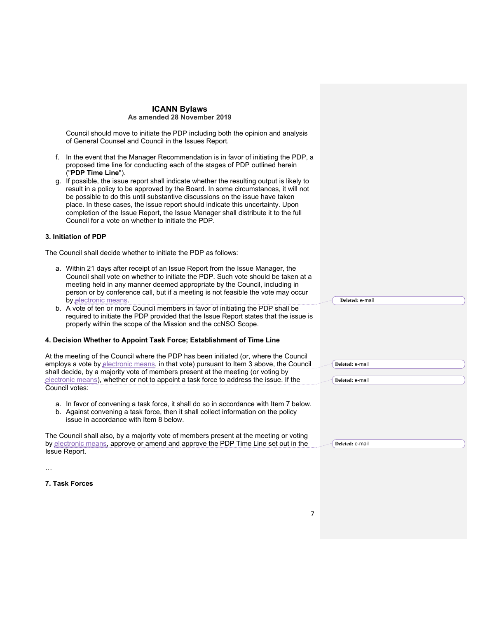Council should move to initiate the PDP including both the opinion and analysis of General Counsel and Council in the Issues Report.

- f. In the event that the Manager Recommendation is in favor of initiating the PDP, a proposed time line for conducting each of the stages of PDP outlined herein ("**PDP Time Line**").
- g. If possible, the issue report shall indicate whether the resulting output is likely to result in a policy to be approved by the Board. In some circumstances, it will not be possible to do this until substantive discussions on the issue have taken place. In these cases, the issue report should indicate this uncertainty. Upon completion of the Issue Report, the Issue Manager shall distribute it to the full Council for a vote on whether to initiate the PDP.

# **3. Initiation of PDP**

The Council shall decide whether to initiate the PDP as follows:

- a. Within 21 days after receipt of an Issue Report from the Issue Manager, the Council shall vote on whether to initiate the PDP. Such vote should be taken at a meeting held in any manner deemed appropriate by the Council, including in person or by conference call, but if a meeting is not feasible the vote may occur by electronic means.
- b. A vote of ten or more Council members in favor of initiating the PDP shall be required to initiate the PDP provided that the Issue Report states that the issue is properly within the scope of the Mission and the ccNSO Scope.

#### **4. Decision Whether to Appoint Task Force; Establishment of Time Line**

At the meeting of the Council where the PDP has been initiated (or, where the Council employs a vote by electronic means, in that vote) pursuant to Item 3 above, the Council shall decide, by a majority vote of members present at the meeting (or voting by electronic means), whether or not to appoint a task force to address the issue. If the Council votes:

- a. In favor of convening a task force, it shall do so in accordance with Item 7 below.
- b. Against convening a task force, then it shall collect information on the policy issue in accordance with Item 8 below.

The Council shall also, by a majority vote of members present at the meeting or voting by electronic means, approve or amend and approve the PDP Time Line set out in the Issue Report.

**Deleted:** e-mail

**Deleted:** e-mail

**Deleted:** e-mail **Deleted:** e-mail

**7. Task Forces**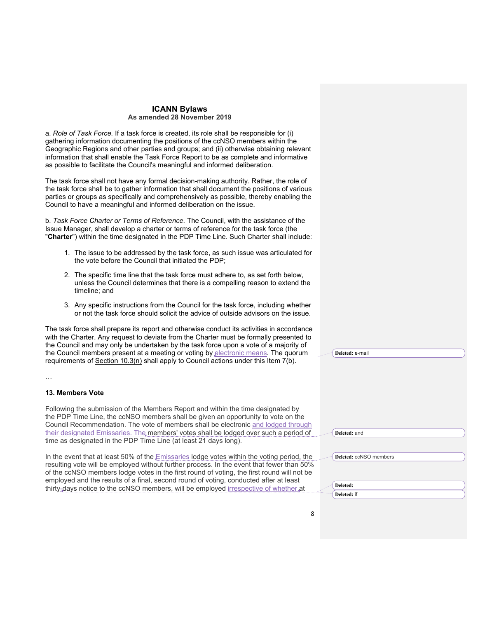a. *Role of Task Force.* If a task force is created, its role shall be responsible for (i) gathering information documenting the positions of the ccNSO members within the Geographic Regions and other parties and groups; and (ii) otherwise obtaining relevant information that shall enable the Task Force Report to be as complete and informative as possible to facilitate the Council's meaningful and informed deliberation.

The task force shall not have any formal decision-making authority. Rather, the role of the task force shall be to gather information that shall document the positions of various parties or groups as specifically and comprehensively as possible, thereby enabling the Council to have a meaningful and informed deliberation on the issue.

b. *Task Force Charter or Terms of Reference.* The Council, with the assistance of the Issue Manager, shall develop a charter or terms of reference for the task force (the "**Charter**") within the time designated in the PDP Time Line. Such Charter shall include:

- 1. The issue to be addressed by the task force, as such issue was articulated for the vote before the Council that initiated the PDP;
- 2. The specific time line that the task force must adhere to, as set forth below, unless the Council determines that there is a compelling reason to extend the timeline; and
- 3. Any specific instructions from the Council for the task force, including whether or not the task force should solicit the advice of outside advisors on the issue.

The task force shall prepare its report and otherwise conduct its activities in accordance with the Charter. Any request to deviate from the Charter must be formally presented to the Council and may only be undertaken by the task force upon a vote of a majority of the Council members present at a meeting or voting by electronic means. The quorum requirements of Section  $10.3(n)$  shall apply to Council actions under this Item  $7(b)$ .

# **13. Members Vote**

Following the submission of the Members Report and within the time designated by the PDP Time Line, the ccNSO members shall be given an opportunity to vote on the Council Recommendation. The vote of members shall be electronic and lodged through their designated Emissaries. The members' votes shall be lodged over such a period of time as designated in the PDP Time Line (at least 21 days long).

In the event that at least 50% of the *Emissaries* lodge votes within the voting period, the resulting vote will be employed without further process. In the event that fewer than 50% of the ccNSO members lodge votes in the first round of voting, the first round will not be employed and the results of a final, second round of voting, conducted after at least thirty-days notice to the ccNSO members, will be employed irrespective of whether at

**Deleted:** e-mail

**Deleted:** and

**Deleted:** ccNSO members

**Deleted: Deleted:** if

8